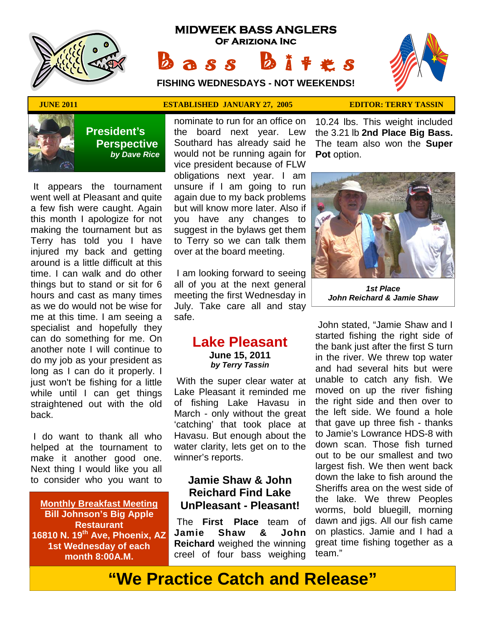

# **MIDWEEK BASS ANGLERS Of Ariziona Inc** Bass Bites

**FISHING WEDNESDAYS - NOT WEEKENDS!**





 **President's Perspective**   *by Dave Rice*

 It appears the tournament went well at Pleasant and quite a few fish were caught. Again this month I apologize for not making the tournament but as Terry has told you I have injured my back and getting around is a little difficult at this time. I can walk and do other things but to stand or sit for 6 hours and cast as many times as we do would not be wise for me at this time. I am seeing a specialist and hopefully they can do something for me. On another note I will continue to do my job as your president as long as I can do it properly. I just won't be fishing for a little while until I can get things straightened out with the old back.

 I do want to thank all who helped at the tournament to make it another good one. Next thing I would like you all to consider who you want to

**Monthly Breakfast Meeting Bill Johnson's Big Apple Restaurant 16810 N. 19th Ave, Phoenix, AZ 1st Wednesday of each month 8:00A.M.** 

## **JUNE 2011 CONTROLLISHED JANUARY 27, 2005 EDITOR: TERRY TASSIN**

nominate to run for an office on the board next year. Lew Southard has already said he would not be running again for vice president because of FLW obligations next year. I am unsure if I am going to run again due to my back problems but will know more later. Also if you have any changes to suggest in the bylaws get them to Terry so we can talk them over at the board meeting.

 I am looking forward to seeing all of you at the next general meeting the first Wednesday in July. Take care all and stay safe.

### **Lake Pleasant June 15, 2011**  *by Terry Tassin*

 With the super clear water at Lake Pleasant it reminded me of fishing Lake Havasu in March - only without the great 'catching' that took place at Havasu. But enough about the water clarity, lets get on to the winner's reports.

# **Jamie Shaw & John Reichard Find Lake UnPleasant - Pleasant!**

 The **First Place** team of **Jamie Shaw & John Reichard** weighed the winning creel of four bass weighing

10.24 lbs. This weight included the 3.21 lb **2nd Place Big Bass.** The team also won the **Super**  Pot option.



*1st Place John Reichard & Jamie Shaw* 

 John stated, "Jamie Shaw and I started fishing the right side of the bank just after the first S turn in the river. We threw top water and had several hits but were unable to catch any fish. We moved on up the river fishing the right side and then over to the left side. We found a hole that gave up three fish - thanks to Jamie's Lowrance HDS-8 with down scan. Those fish turned out to be our smallest and two largest fish. We then went back down the lake to fish around the Sheriffs area on the west side of the lake. We threw Peoples worms, bold bluegill, morning dawn and jigs. All our fish came on plastics. Jamie and I had a great time fishing together as a team."

# **"We Practice Catch and Release"**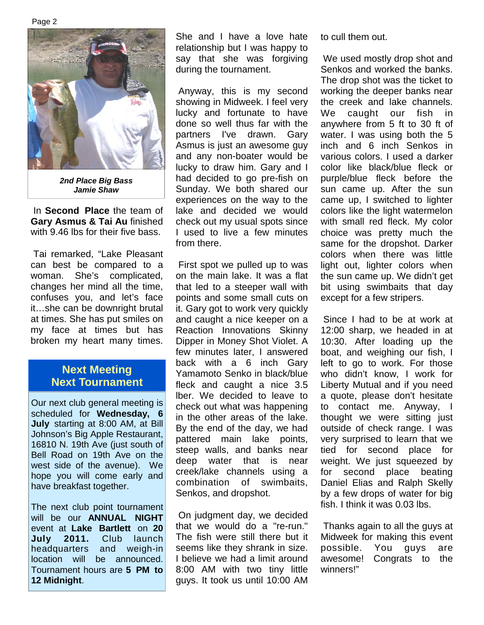

*2nd Place Big Bass Jamie Shaw* 

 In **Second Place** the team of **Gary Asmus & Tai Au** finished with 9.46 lbs for their five bass.

 Tai remarked, "Lake Pleasant can best be compared to a woman. She's complicated, changes her mind all the time, confuses you, and let's face it…she can be downright brutal at times. She has put smiles on my face at times but has broken my heart many times.

# **Next Meeting Next Tournament**

Our next club general meeting is scheduled for **Wednesday, 6 July** starting at 8:00 AM, at Bill Johnson's Big Apple Restaurant, 16810 N. 19th Ave (just south of Bell Road on 19th Ave on the west side of the avenue). We hope you will come early and have breakfast together.

The next club point tournament will be our **ANNUAL NIGHT** event at **Lake Bartlett** on **20 July 2011.** Club launch headquarters and weigh-in location will be announced. Tournament hours are **5 PM to 12 Midnight**.

She and I have a love hate relationship but I was happy to say that she was forgiving during the tournament.

 Anyway, this is my second showing in Midweek. I feel very lucky and fortunate to have done so well thus far with the partners I've drawn. Gary Asmus is just an awesome guy and any non-boater would be lucky to draw him. Gary and I had decided to go pre-fish on Sunday. We both shared our experiences on the way to the lake and decided we would check out my usual spots since I used to live a few minutes from there.

 First spot we pulled up to was on the main lake. It was a flat that led to a steeper wall with points and some small cuts on it. Gary got to work very quickly and caught a nice keeper on a Reaction Innovations Skinny Dipper in Money Shot Violet. A few minutes later, I answered back with a 6 inch Gary Yamamoto Senko in black/blue fleck and caught a nice 3.5 lber. We decided to leave to check out what was happening in the other areas of the lake. By the end of the day, we had pattered main lake points, steep walls, and banks near deep water that is near creek/lake channels using a combination of swimbaits, Senkos, and dropshot.

 On judgment day, we decided that we would do a "re-run." The fish were still there but it seems like they shrank in size. I believe we had a limit around 8:00 AM with two tiny little guys. It took us until 10:00 AM to cull them out.

 We used mostly drop shot and Senkos and worked the banks. The drop shot was the ticket to working the deeper banks near the creek and lake channels. We caught our fish in anywhere from 5 ft to 30 ft of water. I was using both the 5 inch and 6 inch Senkos in various colors. I used a darker color like black/blue fleck or purple/blue fleck before the sun came up. After the sun came up, I switched to lighter colors like the light watermelon with small red fleck. My color choice was pretty much the same for the dropshot. Darker colors when there was little light out, lighter colors when the sun came up. We didn't get bit using swimbaits that day except for a few stripers.

 Since I had to be at work at 12:00 sharp, we headed in at 10:30. After loading up the boat, and weighing our fish, I left to go to work. For those who didn't know, I work for Liberty Mutual and if you need a quote, please don't hesitate to contact me. Anyway, I thought we were sitting just outside of check range. I was very surprised to learn that we tied for second place for weight. We just squeezed by for second place beating Daniel Elias and Ralph Skelly by a few drops of water for big fish. I think it was 0.03 lbs.

 Thanks again to all the guys at Midweek for making this event possible. You guys are awesome! Congrats to the winners!"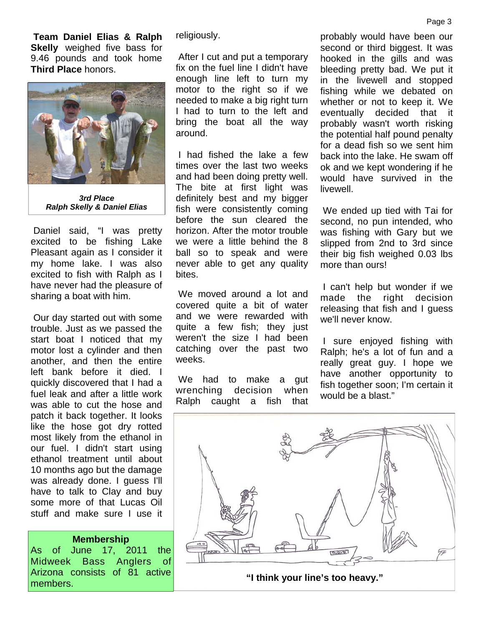**Team Daniel Elias & Ralph Skelly** weighed five bass for 9.46 pounds and took home **Third Place** honors.



*3rd Place Ralph Skelly & Daniel Elias* 

 Daniel said, "I was pretty excited to be fishing Lake Pleasant again as I consider it my home lake. I was also excited to fish with Ralph as I have never had the pleasure of sharing a boat with him.

 Our day started out with some trouble. Just as we passed the start boat I noticed that my motor lost a cylinder and then another, and then the entire left bank before it died. I quickly discovered that I had a fuel leak and after a little work was able to cut the hose and patch it back together. It looks like the hose got dry rotted most likely from the ethanol in our fuel. I didn't start using ethanol treatment until about 10 months ago but the damage was already done. I guess I'll have to talk to Clay and buy some more of that Lucas Oil stuff and make sure I use it

#### **Membership**

As of June 17, 2011 the Midweek Bass Anglers of Arizona consists of 81 active

religiously.

 After I cut and put a temporary fix on the fuel line I didn't have enough line left to turn my motor to the right so if we needed to make a big right turn I had to turn to the left and bring the boat all the way around.

 I had fished the lake a few times over the last two weeks and had been doing pretty well. The bite at first light was definitely best and my bigger fish were consistently coming before the sun cleared the horizon. After the motor trouble we were a little behind the 8 ball so to speak and were never able to get any quality bites.

 We moved around a lot and covered quite a bit of water and we were rewarded with quite a few fish; they just weren't the size I had been catching over the past two weeks.

 We had to make a gut wrenching decision when Ralph caught a fish that

probably would have been our second or third biggest. It was hooked in the gills and was bleeding pretty bad. We put it in the livewell and stopped fishing while we debated on whether or not to keep it. We eventually decided that it probably wasn't worth risking the potential half pound penalty for a dead fish so we sent him back into the lake. He swam off ok and we kept wondering if he would have survived in the livewell.

 We ended up tied with Tai for second, no pun intended, who was fishing with Gary but we slipped from 2nd to 3rd since their big fish weighed 0.03 lbs more than ours!

 I can't help but wonder if we made the right decision releasing that fish and I guess we'll never know.

 I sure enjoyed fishing with Ralph; he's a lot of fun and a really great guy. I hope we have another opportunity to fish together soon; I'm certain it would be a blast."

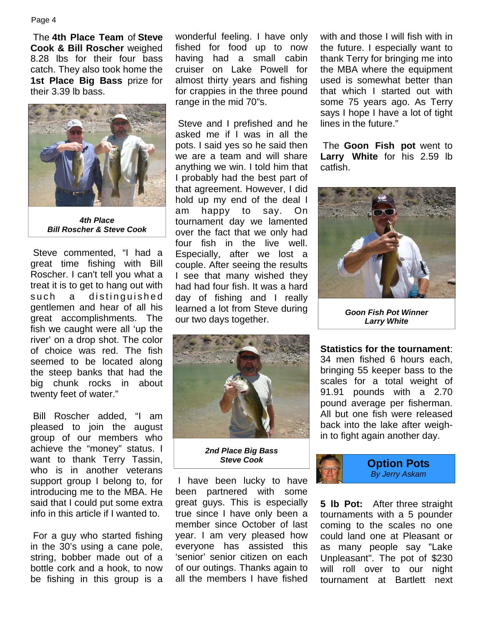The **4th Place Team** of **Steve Cook & Bill Roscher** weighed 8.28 lbs for their four bass catch. They also took home the **1st Place Big Bass** prize for their 3.39 lb bass.



*4th Place Bill Roscher & Steve Cook* 

 Steve commented, "I had a great time fishing with Bill Roscher. I can't tell you what a treat it is to get to hang out with such a distinguished gentlemen and hear of all his great accomplishments. The fish we caught were all 'up the river' on a drop shot. The color of choice was red. The fish seemed to be located along the steep banks that had the big chunk rocks in about twenty feet of water."

 Bill Roscher added, "I am pleased to join the august group of our members who achieve the "money" status. I want to thank Terry Tassin, who is in another veterans support group I belong to, for introducing me to the MBA. He said that I could put some extra info in this article if I wanted to.

 For a guy who started fishing in the 30's using a cane pole, string, bobber made out of a bottle cork and a hook, to now be fishing in this group is a

wonderful feeling. I have only fished for food up to now having had a small cabin cruiser on Lake Powell for almost thirty years and fishing for crappies in the three pound range in the mid 70"s.

 Steve and I prefished and he asked me if I was in all the pots. I said yes so he said then we are a team and will share anything we win. I told him that I probably had the best part of that agreement. However, I did hold up my end of the deal I am happy to say. On tournament day we lamented over the fact that we only had four fish in the live well. Especially, after we lost a couple. After seeing the results I see that many wished they had had four fish. It was a hard day of fishing and I really learned a lot from Steve during our two days together.



*2nd Place Big Bass Steve Cook* 

 I have been lucky to have been partnered with some great guys. This is especially true since I have only been a member since October of last year. I am very pleased how everyone has assisted this 'senior' senior citizen on each of our outings. Thanks again to all the members I have fished

with and those I will fish with in the future. I especially want to thank Terry for bringing me into the MBA where the equipment used is somewhat better than that which I started out with some 75 years ago. As Terry says I hope I have a lot of tight lines in the future."

 The **Goon Fish pot** went to **Larry White** for his 2.59 lb catfish.



*Goon Fish Pot Winner Larry White*

**Statistics for the tournament**: 34 men fished 6 hours each, bringing 55 keeper bass to the scales for a total weight of 91.91 pounds with a 2.70 pound average per fisherman. All but one fish were released back into the lake after weighin to fight again another day.



**5 lb Pot:** After three straight tournaments with a 5 pounder coming to the scales no one could land one at Pleasant or as many people say "Lake Unpleasant". The pot of \$230 will roll over to our night tournament at Bartlett next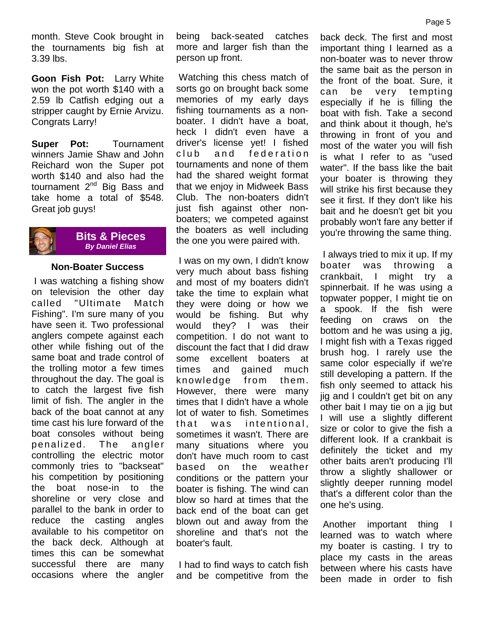month. Steve Cook brought in the tournaments big fish at 3.39 lbs.

**Goon Fish Pot:** Larry White won the pot worth \$140 with a 2.59 lb Catfish edging out a stripper caught by Ernie Arvizu. Congrats Larry!

**Super Pot:** Tournament winners Jamie Shaw and John Reichard won the Super pot worth \$140 and also had the tournament  $2^{nd}$  Big Bass and take home a total of \$548. Great job guys!



#### **Bits & Pieces**  *By Daniel Elias*

### **Non-Boater Success**

 I was watching a fishing show on television the other day called "Ultimate Match Fishing". I'm sure many of you have seen it. Two professional anglers compete against each other while fishing out of the same boat and trade control of the trolling motor a few times throughout the day. The goal is to catch the largest five fish limit of fish. The angler in the back of the boat cannot at any time cast his lure forward of the boat consoles without being penalized. The angler controlling the electric motor commonly tries to "backseat" his competition by positioning the boat nose-in to the shoreline or very close and parallel to the bank in order to reduce the casting angles available to his competitor on the back deck. Although at times this can be somewhat successful there are many occasions where the angler being back-seated catches more and larger fish than the person up front.

 Watching this chess match of sorts go on brought back some memories of my early days fishing tournaments as a nonboater. I didn't have a boat, heck I didn't even have a driver's license yet! I fished club and federation tournaments and none of them had the shared weight format that we enjoy in Midweek Bass Club. The non-boaters didn't just fish against other nonboaters; we competed against the boaters as well including the one you were paired with.

 I was on my own, I didn't know very much about bass fishing and most of my boaters didn't take the time to explain what they were doing or how we would be fishing. But why would they? I was their competition. I do not want to discount the fact that I did draw some excellent boaters at times and gained much knowledge from them. However, there were many times that I didn't have a whole lot of water to fish. Sometimes that was intentional. sometimes it wasn't. There are many situations where you don't have much room to cast based on the weather conditions or the pattern your boater is fishing. The wind can blow so hard at times that the back end of the boat can get blown out and away from the shoreline and that's not the boater's fault.

 I had to find ways to catch fish and be competitive from the

back deck. The first and most important thing I learned as a non-boater was to never throw the same bait as the person in the front of the boat. Sure, it can be very tempting especially if he is filling the boat with fish. Take a second and think about it though, he's throwing in front of you and most of the water you will fish is what I refer to as "used water". If the bass like the bait your boater is throwing they will strike his first because they see it first. If they don't like his bait and he doesn't get bit you probably won't fare any better if you're throwing the same thing.

 I always tried to mix it up. If my boater was throwing a crankbait, I might try a spinnerbait. If he was using a topwater popper, I might tie on a spook. If the fish were feeding on craws on the bottom and he was using a jig, I might fish with a Texas rigged brush hog. I rarely use the same color especially if we're still developing a pattern. If the fish only seemed to attack his jig and I couldn't get bit on any other bait I may tie on a jig but I will use a slightly different size or color to give the fish a different look. If a crankbait is definitely the ticket and my other baits aren't producing I'll throw a slightly shallower or slightly deeper running model that's a different color than the one he's using.

 Another important thing I learned was to watch where my boater is casting. I try to place my casts in the areas between where his casts have been made in order to fish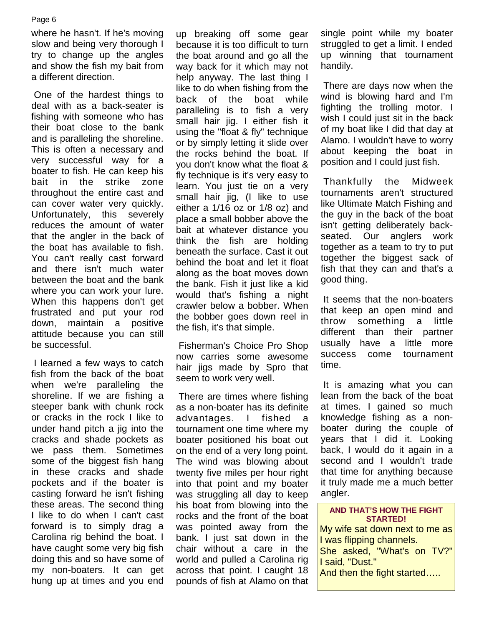where he hasn't. If he's moving slow and being very thorough I try to change up the angles and show the fish my bait from a different direction.

 One of the hardest things to deal with as a back-seater is fishing with someone who has their boat close to the bank and is paralleling the shoreline. This is often a necessary and very successful way for a boater to fish. He can keep his bait in the strike zone throughout the entire cast and can cover water very quickly. Unfortunately, this severely reduces the amount of water that the angler in the back of the boat has available to fish. You can't really cast forward and there isn't much water between the boat and the bank where you can work your lure. When this happens don't get frustrated and put your rod down, maintain a positive attitude because you can still be successful.

 I learned a few ways to catch fish from the back of the boat when we're paralleling the shoreline. If we are fishing a steeper bank with chunk rock or cracks in the rock I like to under hand pitch a jig into the cracks and shade pockets as we pass them. Sometimes some of the biggest fish hang in these cracks and shade pockets and if the boater is casting forward he isn't fishing these areas. The second thing I like to do when I can't cast forward is to simply drag a Carolina rig behind the boat. I have caught some very big fish doing this and so have some of my non-boaters. It can get hung up at times and you end

up breaking off some gear because it is too difficult to turn the boat around and go all the way back for it which may not help anyway. The last thing I like to do when fishing from the back of the boat while paralleling is to fish a very small hair jig. I either fish it using the "float & fly" technique or by simply letting it slide over the rocks behind the boat. If you don't know what the float & fly technique is it's very easy to learn. You just tie on a very small hair jig, (I like to use either a 1/16 oz or 1/8 oz) and place a small bobber above the bait at whatever distance you think the fish are holding beneath the surface. Cast it out behind the boat and let it float along as the boat moves down the bank. Fish it just like a kid would that's fishing a night crawler below a bobber. When the bobber goes down reel in the fish, it's that simple.

 Fisherman's Choice Pro Shop now carries some awesome hair jigs made by Spro that seem to work very well.

 There are times where fishing as a non-boater has its definite advantages. I fished a tournament one time where my boater positioned his boat out on the end of a very long point. The wind was blowing about twenty five miles per hour right into that point and my boater was struggling all day to keep his boat from blowing into the rocks and the front of the boat was pointed away from the bank. I just sat down in the chair without a care in the world and pulled a Carolina rig across that point. I caught 18 pounds of fish at Alamo on that

single point while my boater struggled to get a limit. I ended up winning that tournament handily.

 There are days now when the wind is blowing hard and I'm fighting the trolling motor. I wish I could just sit in the back of my boat like I did that day at Alamo. I wouldn't have to worry about keeping the boat in position and I could just fish.

 Thankfully the Midweek tournaments aren't structured like Ultimate Match Fishing and the guy in the back of the boat isn't getting deliberately backseated. Our anglers work together as a team to try to put together the biggest sack of fish that they can and that's a good thing.

 It seems that the non-boaters that keep an open mind and throw something a little different than their partner usually have a little more success come tournament time.

 It is amazing what you can lean from the back of the boat at times. I gained so much knowledge fishing as a nonboater during the couple of years that I did it. Looking back, I would do it again in a second and I wouldn't trade that time for anything because it truly made me a much better angler.

#### **AND THAT'S HOW THE FIGHT STARTED!**

My wife sat down next to me as I was flipping channels. She asked, "What's on TV?" I said, "Dust." And then the fight started…..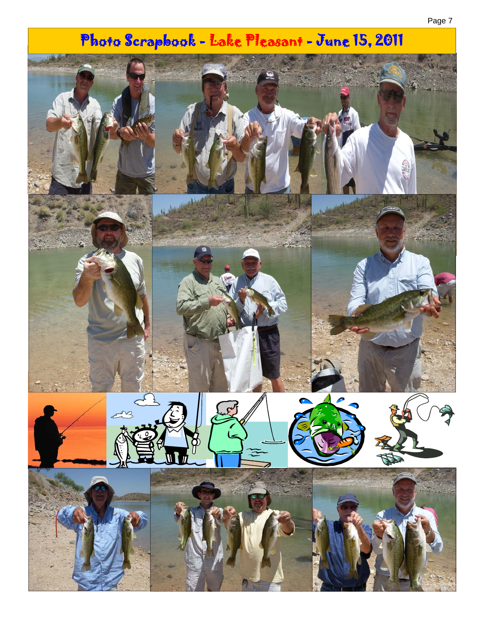# Photo Scrapbook - Lake Pleasant - June 15, 2011